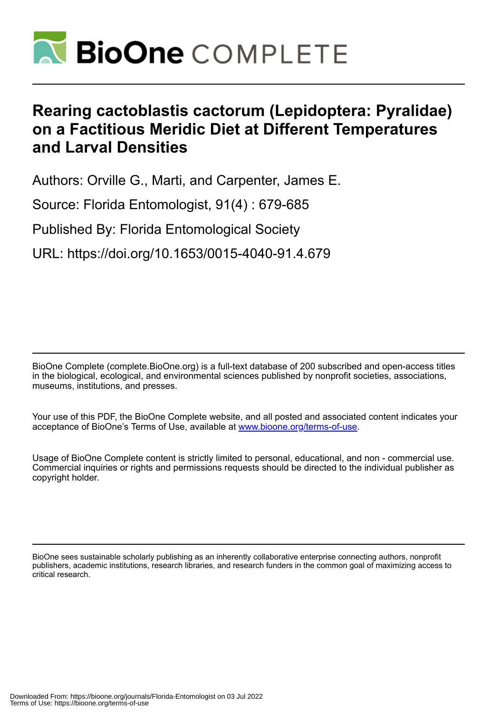

# **Rearing cactoblastis cactorum (Lepidoptera: Pyralidae) on a Factitious Meridic Diet at Different Temperatures and Larval Densities**

Authors: Orville G., Marti, and Carpenter, James E.

Source: Florida Entomologist, 91(4) : 679-685

Published By: Florida Entomological Society

URL: https://doi.org/10.1653/0015-4040-91.4.679

BioOne Complete (complete.BioOne.org) is a full-text database of 200 subscribed and open-access titles in the biological, ecological, and environmental sciences published by nonprofit societies, associations, museums, institutions, and presses.

Your use of this PDF, the BioOne Complete website, and all posted and associated content indicates your acceptance of BioOne's Terms of Use, available at www.bioone.org/terms-of-use.

Usage of BioOne Complete content is strictly limited to personal, educational, and non - commercial use. Commercial inquiries or rights and permissions requests should be directed to the individual publisher as copyright holder.

BioOne sees sustainable scholarly publishing as an inherently collaborative enterprise connecting authors, nonprofit publishers, academic institutions, research libraries, and research funders in the common goal of maximizing access to critical research.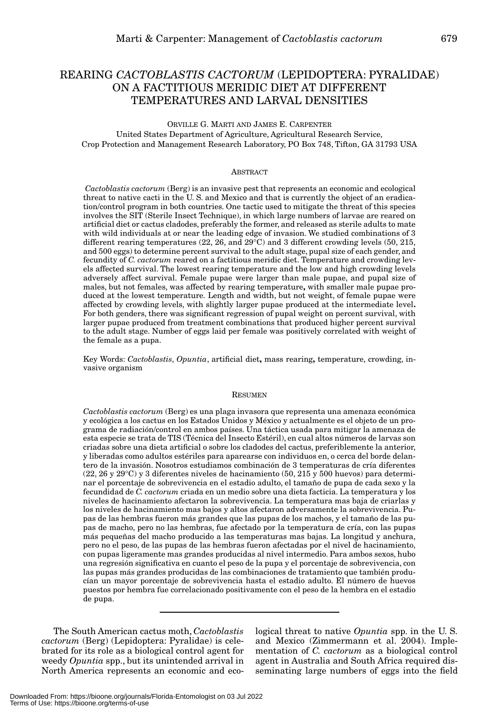# REARING *CACTOBLASTIS CACTORUM* (LEPIDOPTERA: PYRALIDAE) ON A FACTITIOUS MERIDIC DIET AT DIFFERENT TEMPERATURES AND LARVAL DENSITIES

ORVILLE G. MARTI AND JAMES E. CARPENTER United States Department of Agriculture, Agricultural Research Service, Crop Protection and Management Research Laboratory, PO Box 748, Tifton, GA 31793 USA

### ABSTRACT

*Cactoblastis cactorum* (Berg) is an invasive pest that represents an economic and ecological threat to native cacti in the U. S. and Mexico and that is currently the object of an eradication/control program in both countries. One tactic used to mitigate the threat of this species involves the SIT (Sterile Insect Technique), in which large numbers of larvae are reared on artificial diet or cactus cladodes, preferably the former, and released as sterile adults to mate with wild individuals at or near the leading edge of invasion. We studied combinations of 3 different rearing temperatures (22, 26, and 29°C) and 3 different crowding levels (50, 215, and 500 eggs) to determine percent survival to the adult stage, pupal size of each gender, and fecundity of *C. cactorum* reared on a factitious meridic diet. Temperature and crowding levels affected survival. The lowest rearing temperature and the low and high crowding levels adversely affect survival. Female pupae were larger than male pupae, and pupal size of males, but not females, was affected by rearing temperature**,** with smaller male pupae produced at the lowest temperature. Length and width, but not weight, of female pupae were affected by crowding levels, with slightly larger pupae produced at the intermediate level**.** For both genders, there was significant regression of pupal weight on percent survival, with larger pupae produced from treatment combinations that produced higher percent survival to the adult stage. Number of eggs laid per female was positively correlated with weight of the female as a pupa.

Key Words: *Cactoblastis*, *Opuntia*, artificial diet**,** mass rearing**,** temperature, crowding, invasive organism

#### RESUMEN

*Cactoblastis cactorum* (Berg) es una plaga invasora que representa una amenaza económica y ecológica a los cactus en los Estados Unidos y México y actualmente es el objeto de un programa de radiación/control en ambos países. Una táctica usada para mitigar la amenaza de esta especie se trata de TIS (Técnica del Insecto Estéril), en cual altos números de larvas son criadas sobre una dieta artificial o sobre los cladodes del cactus, preferiblemente la anterior, y liberadas como adultos estériles para aparearse con individuos en, o cerca del borde delantero de la invasión. Nosotros estudiamos combinación de 3 temperaturas de cría diferentes (22, 26 y 29°C) y 3 diferentes niveles de hacinamiento (50, 215 y 500 huevos) para determinar el porcentaje de sobrevivencia en el estadio adulto, el tamaño de pupa de cada sexo y la fecundidad de *C. cactorum* criada en un medio sobre una dieta facticia. La temperatura y los niveles de hacinamiento afectaron la sobrevivencia. La temperatura mas baja de criarlas y los niveles de hacinamiento mas bajos y altos afectaron adversamente la sobrevivencia. Pupas de las hembras fueron más grandes que las pupas de los machos, y el tamaño de las pupas de macho, pero no las hembras, fue afectado por la temperatura de cría, con las pupas más pequeñas del macho producido a las temperaturas mas bajas. La longitud y anchura, pero no el peso, de las pupas de las hembras fueron afectadas por el nivel de hacinamiento, con pupas ligeramente mas grandes producidas al nivel intermedio. Para ambos sexos, hubo una regresión significativa en cuanto el peso de la pupa y el porcentaje de sobrevivencia, con las pupas más grandes producidas de las combinaciones de tratamiento que también producían un mayor porcentaje de sobrevivencia hasta el estadio adulto. El número de huevos puestos por hembra fue correlacionado positivamente con el peso de la hembra en el estadio de pupa.

The South American cactus moth, *Cactoblastis cactorum* (Berg) (Lepidoptera: Pyralidae) is celebrated for its role as a biological control agent for weedy *Opuntia* spp., but its unintended arrival in North America represents an economic and ecological threat to native *Opuntia* spp. in the U. S. and Mexico (Zimmermann et al. 2004). Implementation of *C. cactorum* as a biological control agent in Australia and South Africa required disseminating large numbers of eggs into the field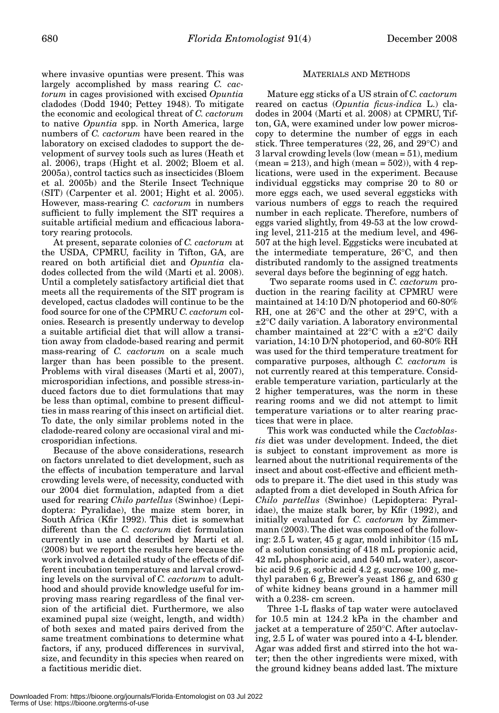where invasive opuntias were present. This was largely accomplished by mass rearing *C. cactorum* in cages provisioned with excised *Opuntia* cladodes (Dodd 1940; Pettey 1948). To mitigate the economic and ecological threat of *C. cactorum* to native *Opuntia* spp. in North America, large numbers of *C. cactorum* have been reared in the laboratory on excised cladodes to support the development of survey tools such as lures (Heath et al. 2006), traps (Hight et al. 2002; Bloem et al. 2005a), control tactics such as insecticides (Bloem et al. 2005b) and the Sterile Insect Technique (SIT) (Carpenter et al. 2001; Hight et al. 2005). However, mass-rearing *C. cactorum* in numbers sufficient to fully implement the SIT requires a suitable artificial medium and efficacious laboratory rearing protocols.

At present, separate colonies of *C. cactorum* at the USDA, CPMRU, facility in Tifton, GA, are reared on both artificial diet and *Opuntia* cladodes collected from the wild (Marti et al. 2008). Until a completely satisfactory artificial diet that meets all the requirements of the SIT program is developed, cactus cladodes will continue to be the food source for one of the CPMRU *C. cactorum* colonies. Research is presently underway to develop a suitable artificial diet that will allow a transition away from cladode-based rearing and permit mass-rearing of *C. cactorum* on a scale much larger than has been possible to the present. Problems with viral diseases (Marti et al, 2007), microsporidian infections, and possible stress-induced factors due to diet formulations that may be less than optimal, combine to present difficulties in mass rearing of this insect on artificial diet. To date, the only similar problems noted in the cladode-reared colony are occasional viral and microsporidian infections.

Because of the above considerations, research on factors unrelated to diet development, such as the effects of incubation temperature and larval crowding levels were, of necessity, conducted with our 2004 diet formulation, adapted from a diet used for rearing *Chilo partellus* (Swinhoe) (Lepidoptera: Pyralidae), the maize stem borer, in South Africa (Kfir 1992). This diet is somewhat different than the *C. cactorum* diet formulation currently in use and described by Marti et al. (2008) but we report the results here because the work involved a detailed study of the effects of different incubation temperatures and larval crowding levels on the survival of *C. cactorum* to adulthood and should provide knowledge useful for improving mass rearing regardless of the final version of the artificial diet. Furthermore, we also examined pupal size (weight, length, and width) of both sexes and mated pairs derived from the same treatment combinations to determine what factors, if any, produced differences in survival, size, and fecundity in this species when reared on a factitious meridic diet.

# MATERIALS AND METHODS

Mature egg sticks of a US strain of *C. cactorum* reared on cactus (*Opuntia ficus-indica* L.) cladodes in 2004 (Marti et al. 2008) at CPMRU, Tifton, GA, were examined under low power microscopy to determine the number of eggs in each stick. Three temperatures (22, 26, and 29°C) and 3 larval crowding levels (low (mean = 51), medium  $(mean = 213)$ , and high  $(mean = 502)$ , with 4 replications, were used in the experiment. Because individual eggsticks may comprise 20 to 80 or more eggs each, we used several eggsticks with various numbers of eggs to reach the required number in each replicate. Therefore, numbers of eggs varied slightly, from 49-53 at the low crowding level, 211-215 at the medium level, and 496- 507 at the high level. Eggsticks were incubated at the intermediate temperature, 26°C, and then distributed randomly to the assigned treatments several days before the beginning of egg hatch.

Two separate rooms used in *C. cactorum* production in the rearing facility at CPMRU were maintained at 14:10 D/N photoperiod and 60-80% RH, one at 26°C and the other at 29°C, with a ±2°C daily variation. A laboratory environmental chamber maintained at  $22^{\circ}$ C with a  $\pm 2^{\circ}$ C daily variation, 14:10 D/N photoperiod, and 60-80% RH was used for the third temperature treatment for comparative purposes, although *C. cactorum* is not currently reared at this temperature. Considerable temperature variation, particularly at the 2 higher temperatures, was the norm in these rearing rooms and we did not attempt to limit temperature variations or to alter rearing practices that were in place.

This work was conducted while the *Cactoblastis* diet was under development. Indeed, the diet is subject to constant improvement as more is learned about the nutritional requirements of the insect and about cost-effective and efficient methods to prepare it. The diet used in this study was adapted from a diet developed in South Africa for *Chilo partellus* (Swinhoe) (Lepidoptera: Pyralidae), the maize stalk borer, by Kfir (1992), and initially evaluated for *C. cactorum* by Zimmermann (2003). The diet was composed of the following: 2.5 L water, 45 g agar, mold inhibitor (15 mL of a solution consisting of 418 mL propionic acid, 42 mL phosphoric acid, and 540 mL water), ascorbic acid 9.6 g, sorbic acid 4.2 g, sucrose 100 g, methyl paraben 6 g, Brewer's yeast 186 g, and 630 g of white kidney beans ground in a hammer mill with a 0.238- cm screen.

Three 1-L flasks of tap water were autoclaved for 10.5 min at 124.2 kPa in the chamber and jacket at a temperature of 250°C. After autoclaving, 2.5 L of water was poured into a 4-L blender. Agar was added first and stirred into the hot water; then the other ingredients were mixed, with the ground kidney beans added last. The mixture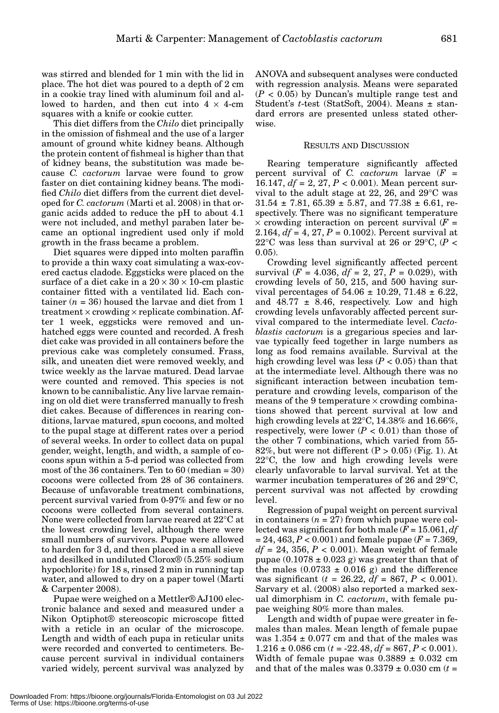was stirred and blended for 1 min with the lid in place. The hot diet was poured to a depth of 2 cm in a cookie tray lined with aluminum foil and allowed to harden, and then cut into  $4 \times 4$ -cm squares with a knife or cookie cutter.

This diet differs from the *Chilo* diet principally in the omission of fishmeal and the use of a larger amount of ground white kidney beans. Although the protein content of fishmeal is higher than that of kidney beans, the substitution was made because *C. cactorum* larvae were found to grow faster on diet containing kidney beans. The modified *Chilo* diet differs from the current diet developed for *C. cactorum* (Marti et al. 2008) in that organic acids added to reduce the pH to about 4.1 were not included, and methyl paraben later became an optional ingredient used only if mold growth in the frass became a problem.

Diet squares were dipped into molten paraffin to provide a thin waxy coat simulating a wax-covered cactus cladode. Eggsticks were placed on the surface of a diet cake in a  $20 \times 30 \times 10$ -cm plastic container fitted with a ventilated lid. Each container  $(n = 36)$  housed the larvae and diet from 1 treatment  $\times$  crowding  $\times$  replicate combination. After 1 week, eggsticks were removed and unhatched eggs were counted and recorded. A fresh diet cake was provided in all containers before the previous cake was completely consumed. Frass, silk, and uneaten diet were removed weekly, and twice weekly as the larvae matured. Dead larvae were counted and removed. This species is not known to be cannibalistic. Any live larvae remaining on old diet were transferred manually to fresh diet cakes. Because of differences in rearing conditions, larvae matured, spun cocoons, and molted to the pupal stage at different rates over a period of several weeks. In order to collect data on pupal gender, weight, length, and width, a sample of cocoons spun within a 5-d period was collected from most of the 36 containers. Ten to 60 (median = 30) cocoons were collected from 28 of 36 containers. Because of unfavorable treatment combinations, percent survival varied from 0-97% and few or no cocoons were collected from several containers. None were collected from larvae reared at 22°C at the lowest crowding level, although there were small numbers of survivors. Pupae were allowed to harden for 3 d, and then placed in a small sieve and desilked in undiluted Clorox® (5.25% sodium hypochlorite) for 18 s, rinsed 2 min in running tap water, and allowed to dry on a paper towel (Marti & Carpenter 2008).

Pupae were weighed on a Mettler® AJ100 electronic balance and sexed and measured under a Nikon Optiphot® stereoscopic microscope fitted with a reticle in an ocular of the microscope. Length and width of each pupa in reticular units were recorded and converted to centimeters. Because percent survival in individual containers varied widely, percent survival was analyzed by

ANOVA and subsequent analyses were conducted with regression analysis. Means were separated (*P* < 0.05) by Duncan's multiple range test and Student's *t*-test (StatSoft, 2004). Means ± standard errors are presented unless stated otherwise.

#### RESULTS AND DISCUSSION

Rearing temperature significantly affected percent survival of *C. cactorum* larvae  $(F =$ 16.147, *df* = 2, 27, *P* < 0.001). Mean percent survival to the adult stage at 22, 26, and 29°C was  $31.54 \pm 7.81$ ,  $65.39 \pm 5.87$ , and  $77.38 \pm 6.61$ , respectively. There was no significant temperature  $\times$  crowding interaction on percent survival ( $F =$ 2.164, *df* = 4, 27, *P* = 0.1002). Percent survival at 22°C was less than survival at 26 or 29°C, (*P* < 0.05).

Crowding level significantly affected percent survival ( $F = 4.036$ ,  $df = 2$ , 27,  $P = 0.029$ ), with crowding levels of 50, 215, and 500 having survival percentages of  $54.06 \pm 10.29$ ,  $71.48 \pm 6.22$ , and  $48.77 \pm 8.46$ , respectively. Low and high crowding levels unfavorably affected percent survival compared to the intermediate level. *Cactoblastis cactorum* is a gregarious species and larvae typically feed together in large numbers as long as food remains available. Survival at the high crowding level was less (*P* < 0.05) than that at the intermediate level. Although there was no significant interaction between incubation temperature and crowding levels, comparison of the means of the 9 temperature  $\times$  crowding combinations showed that percent survival at low and high crowding levels at 22°C, 14.38% and 16.66%, respectively, were lower  $(P < 0.01)$  than those of the other 7 combinations, which varied from 55- 82%, but were not different  $(P > 0.05)$  (Fig. 1). At 22°C, the low and high crowding levels were clearly unfavorable to larval survival. Yet at the warmer incubation temperatures of 26 and 29°C, percent survival was not affected by crowding level.

Regression of pupal weight on percent survival in containers  $(n = 27)$  from which pupae were collected was significant for both male (*F* = 15.061, *df*  $= 24, 463, P < 0.001$  and female pupae ( $F = 7.369$ )  $df = 24, 356, P < 0.001$ . Mean weight of female pupae  $(0.1078 \pm 0.023$  g) was greater than that of the males  $(0.0733 \pm 0.016 \text{ g})$  and the difference was significant ( $t = 26.22$ ,  $df = 867$ ,  $P < 0.001$ ). Sarvary et al. (2008) also reported a marked sexual dimorphism in *C. cactorum*, with female pupae weighing 80% more than males.

Length and width of pupae were greater in females than males. Mean length of female pupae was  $1.354 \pm 0.077$  cm and that of the males was  $1.216 \pm 0.086$  cm ( $t = -22.48$ ,  $df = 867$ ,  $P < 0.001$ ). Width of female pupae was  $0.3889 \pm 0.032$  cm and that of the males was  $0.3379 \pm 0.030$  cm ( $t =$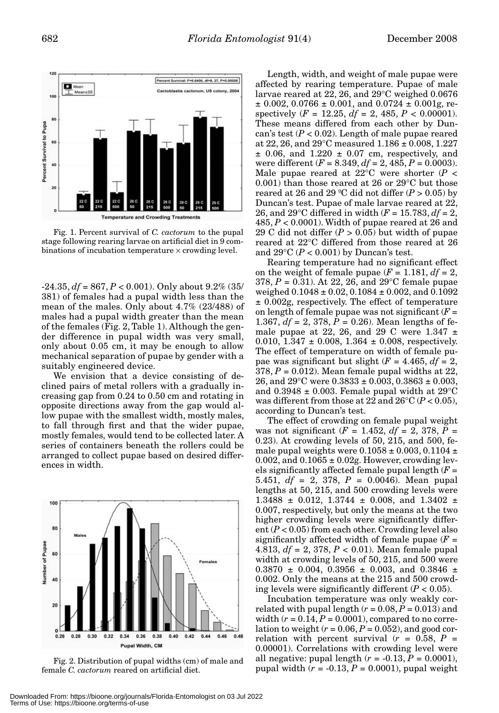

Fig. 1. Percent survival of *C. cactorum* to the pupal stage following rearing larvae on artificial diet in 9 combinations of incubation temperature  $\times$  crowding level.

 $-24.35, df = 867, P < 0.001$ ). Only about  $9.2\%$  (35/ 381) of females had a pupal width less than the mean of the males. Only about 4.7% (23/488) of males had a pupal width greater than the mean of the females (Fig. 2, Table 1). Although the gender difference in pupal width was very small, only about 0.05 cm, it may be enough to allow mechanical separation of pupae by gender with a suitably engineered device.

We envision that a device consisting of declined pairs of metal rollers with a gradually increasing gap from 0.24 to 0.50 cm and rotating in opposite directions away from the gap would allow pupae with the smallest width, mostly males, to fall through first and that the wider pupae, mostly females, would tend to be collected later. A series of containers beneath the rollers could be arranged to collect pupae based on desired differences in width.



Fig. 2. Distribution of pupal widths (cm) of male and female *C. cactorum* reared on artificial diet.

Length, width, and weight of male pupae were affected by rearing temperature. Pupae of male larvae reared at 22, 26, and 29°C weighed 0.0676  $\pm$  0.002, 0.0766  $\pm$  0.001, and 0.0724  $\pm$  0.001g, respectively  $(F = 12.25, df = 2, 485, P < 0.00001)$ . These means differed from each other by Duncan's test  $(P < 0.02)$ . Length of male pupae reared at 22, 26, and 29°C measured 1.186 ± 0.008, 1.227  $\pm$  0.06, and 1.220  $\pm$  0.07 cm, respectively, and were different (*F* = 8.349, *df* = 2, 485, *P* = 0.0003). Male pupae reared at 22°C were shorter (*P* < 0.001) than those reared at 26 or 29°C but those reared at 26 and 29 °C did not differ  $(P > 0.05)$  by Duncan's test. Pupae of male larvae reared at 22, 26, and 29°C differed in width (*F* = 15.783, *df* = 2, 485, *P* < 0.0001). Width of pupae reared at 26 and 29 C did not differ  $(P > 0.05)$  but width of pupae reared at 22°C differed from those reared at 26 and  $29^{\circ}$ C ( $P < 0.001$ ) by Duncan's test.

Rearing temperature had no significant effect on the weight of female pupae  $(F = 1.181, df = 2)$ , 378, *P* = 0.31). At 22, 26, and 29°C female pupae weighed  $0.1048 \pm 0.02$ ,  $0.1084 \pm 0.002$ , and  $0.1092$ ± 0.002g, respectively. The effect of temperature on length of female pupae was not significant  $(F =$ 1.367,  $df = 2$ , 378,  $P = 0.26$ ). Mean lengths of female pupae at 22, 26, and 29 C were  $1.347 \pm$ 0.010,  $1.347 \pm 0.008$ ,  $1.364 \pm 0.008$ , respectively. The effect of temperature on width of female pupae was significant but slight  $(F = 4.465, df = 2,$  $378, P = 0.012$ ). Mean female pupal widths at  $22$ , 26, and  $29^{\circ}$ C were  $0.3833 \pm 0.003$ ,  $0.3863 \pm 0.003$ , and  $0.3948 \pm 0.003$ . Female pupal width at  $29^{\circ}$ C was different from those at 22 and  $26^{\circ}$ C (*P* < 0.05), according to Duncan's test.

The effect of crowding on female pupal weight was not significant ( $F = 1.452$ ,  $df = 2$ , 378,  $P =$ 0.23). At crowding levels of 50, 215, and 500, female pupal weights were  $0.1058 \pm 0.003$ ,  $0.1104 \pm 1.0003$ 0.002, and  $0.1065 \pm 0.02$ g. However, crowding levels significantly affected female pupal length  $(F =$ 5.451, *df* = 2, 378, *P* = 0.0046). Mean pupal lengths at 50, 215, and 500 crowding levels were  $1.3488 \pm 0.012$ ,  $1.3744 \pm 0.008$ , and  $1.3402 \pm 0.008$ 0.007, respectively, but only the means at the two higher crowding levels were significantly different  $(P < 0.05)$  from each other. Crowding level also significantly affected width of female pupae  $(F =$ 4.813, *df* = 2, 378, *P* < 0.01). Mean female pupal width at crowding levels of 50, 215, and 500 were  $0.3870 \pm 0.004$ ,  $0.3956 \pm 0.003$ , and  $0.3846 \pm 0.003$ 0.002. Only the means at the 215 and 500 crowding levels were significantly different  $(P < 0.05)$ .

Incubation temperature was only weakly correlated with pupal length  $(r = 0.08, P = 0.013)$  and width  $(r = 0.14, P = 0.0001)$ , compared to no correlation to weight  $(r = 0.06, P = 0.052)$ , and good correlation with percent survival  $(r = 0.58, P =$ 0.00001). Correlations with crowding level were all negative: pupal length  $(r = -0.13, P = 0.0001)$ , pupal width  $(r = -0.13, P = 0.0001)$ , pupal weight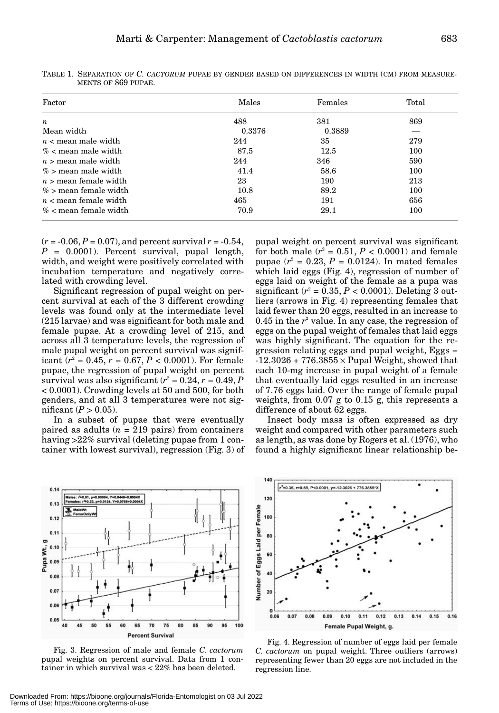| Factor                                                          | Males  | Females | Total |  |
|-----------------------------------------------------------------|--------|---------|-------|--|
| n                                                               | 488    | 381     | 869   |  |
| Mean width-                                                     | 0.3376 | 0.3889  |       |  |
| $n<\mathrm{mean}% \left\vert \mathcal{A}\right\vert$ male width | 244    | 35      | 279   |  |
| $\%$ < mean male width                                          | 87.5   | 12.5    | 100   |  |
| $n >$ mean male width                                           | 244    | 346     | 590   |  |
| $\%$ > mean male width                                          | 41.4   | 58.6    | 100   |  |
| $n >$ mean female width                                         | 23     | 190     | 213   |  |
| $\%$ > mean female width                                        | 10.8   | 89.2    | 100   |  |
| $n<\mathrm{mean}$ female width                                  | 465    | 191     | 656   |  |

 $\%$  < mean female width  $70.9$   $29.1$   $100$ 

TABLE 1. SEPARATION OF *C. CACTORUM* PUPAE BY GENDER BASED ON DIFFERENCES IN WIDTH (CM) FROM MEASURE-MENTS OF 869 PUPAE.

 $(r = -0.06, P = 0.07)$ , and percent survival  $r = -0.54$ , *P* = 0.0001). Percent survival, pupal length, width, and weight were positively correlated with incubation temperature and negatively correlated with crowding level.

L

Significant regression of pupal weight on percent survival at each of the 3 different crowding levels was found only at the intermediate level (215 larvae) and was significant for both male and female pupae. At a crowding level of 215, and across all 3 temperature levels, the regression of male pupal weight on percent survival was significant ( $r^2 = 0.45$ ,  $r = 0.67$ ,  $P < 0.0001$ ). For female pupae, the regression of pupal weight on percent survival was also significant  $(r^2 = 0.24, r = 0.49, P)$ < 0.0001). Crowding levels at 50 and 500, for both genders, and at all 3 temperatures were not significant  $(P > 0.05)$ .

In a subset of pupae that were eventually paired as adults  $(n = 219 \text{ pairs})$  from containers having >22% survival (deleting pupae from 1 container with lowest survival), regression (Fig. 3) of

pupal weight on percent survival was significant for both male  $(r^2 = 0.51, P < 0.0001)$  and female pupae  $(r^2 = 0.23, P = 0.0124)$ . In mated females which laid eggs (Fig. 4), regression of number of eggs laid on weight of the female as a pupa was significant  $(r^2 = 0.35, P < 0.0001)$ . Deleting 3 outliers (arrows in Fig. 4) representing females that laid fewer than 20 eggs, resulted in an increase to 0.45 in the  $r^2$  value. In any case, the regression of eggs on the pupal weight of females that laid eggs was highly significant. The equation for the regression relating eggs and pupal weight, Eggs =  $-12.3026 + 776.3855 \times$  Pupal Weight, showed that each 10-mg increase in pupal weight of a female that eventually laid eggs resulted in an increase of 7.76 eggs laid. Over the range of female pupal weights, from 0.07 g to 0.15 g, this represents a difference of about 62 eggs.

Insect body mass is often expressed as dry weight and compared with other parameters such as length, as was done by Rogers et al. (1976), who found a highly significant linear relationship be-



Fig. 3. Regression of male and female *C. cactorum* pupal weights on percent survival. Data from 1 container in which survival was < 22% has been deleted.



Fig. 4. Regression of number of eggs laid per female *C. cactorum* on pupal weight. Three outliers (arrows) representing fewer than 20 eggs are not included in the regression line.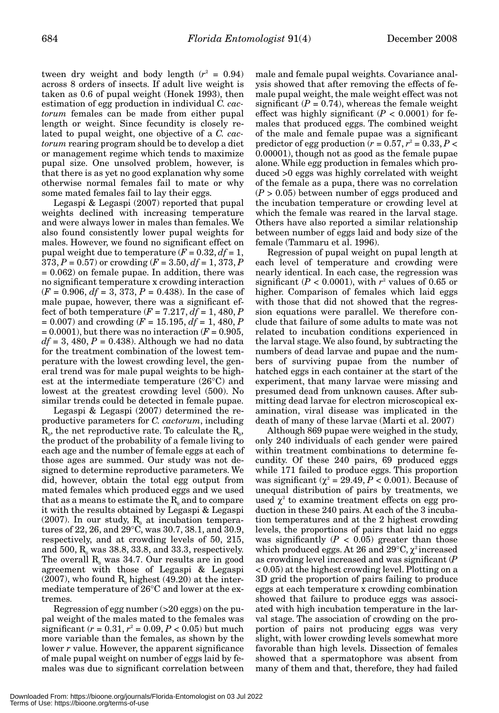tween dry weight and body length  $(r^2 = 0.94)$ across 8 orders of insects. If adult live weight is taken as 0.6 of pupal weight (Honek 1993), then estimation of egg production in individual *C. cactorum* females can be made from either pupal length or weight. Since fecundity is closely related to pupal weight, one objective of a *C. cactorum* rearing program should be to develop a diet or management regime which tends to maximize pupal size. One unsolved problem, however, is that there is as yet no good explanation why some otherwise normal females fail to mate or why some mated females fail to lay their eggs.

Legaspi & Legaspi (2007) reported that pupal weights declined with increasing temperature and were always lower in males than females. We also found consistently lower pupal weights for males. However, we found no significant effect on pupal weight due to temperature  $(F = 0.32, df = 1,$  $373, P = 0.57$  or crowding  $(F = 3.50, df = 1, 373, P$ = 0.062) on female pupae. In addition, there was no significant temperature x crowding interaction (*F* = 0.906, *df* = 3, 373, *P* = 0.438). In the case of male pupae, however, there was a significant effect of both temperature  $(F = 7.217, df = 1, 480, P$ = 0.007) and crowding (*F* = 15.195, *df* = 1, 480, *P*  $= 0.0001$ , but there was no interaction ( $F = 0.905$ , *df* = 3, 480, *P* = 0.438). Although we had no data for the treatment combination of the lowest temperature with the lowest crowding level, the general trend was for male pupal weights to be highest at the intermediate temperature (26°C) and lowest at the greatest crowding level (500). No similar trends could be detected in female pupae.

Legaspi & Legaspi (2007) determined the reproductive parameters for *C. cactorum*, including  $R_{0}$ , the net reproductive rate. To calculate the  $R_{0}$ , the product of the probability of a female living to each age and the number of female eggs at each of those ages are summed. Our study was not designed to determine reproductive parameters. We did, however, obtain the total egg output from mated females which produced eggs and we used that as a means to estimate the  $R_0$  and to compare it with the results obtained by Legaspi & Legaspi  $(2007)$ . In our study, R<sub>0</sub> at incubation temperatures of 22, 26, and 29°C, was 30.7, 38.1, and 30.9, respectively, and at crowding levels of 50, 215, and  $500$ ,  $R_0$  was  $38.8$ ,  $33.8$ , and  $33.3$ , respectively. The overall  $R_0$  was 34.7. Our results are in good agreement with those of Legaspi & Legaspi  $(2007)$ , who found R<sub>0</sub> highest  $(49.20)$  at the intermediate temperature of 26°C and lower at the extremes.

Regression of egg number (>20 eggs) on the pupal weight of the males mated to the females was significant  $(r = 0.31, r^2 = 0.09, P < 0.05)$  but much more variable than the females, as shown by the lower *r* value. However, the apparent significance of male pupal weight on number of eggs laid by females was due to significant correlation between male and female pupal weights. Covariance analysis showed that after removing the effects of female pupal weight, the male weight effect was not significant  $(P = 0.74)$ , whereas the female weight effect was highly significant  $(P < 0.0001)$  for females that produced eggs. The combined weight of the male and female pupae was a significant predictor of egg production  $(r = 0.57, r^2 = 0.33, P <$ 0.00001), though not as good as the female pupae alone. While egg production in females which produced >0 eggs was highly correlated with weight of the female as a pupa, there was no correlation  $(P > 0.05)$  between number of eggs produced and the incubation temperature or crowding level at which the female was reared in the larval stage. Others have also reported a similar relationship between number of eggs laid and body size of the female (Tammaru et al. 1996).

Regression of pupal weight on pupal length at each level of temperature and crowding were nearly identical. In each case, the regression was significant  $(P < 0.0001)$ , with  $r^2$  values of 0.65 or higher. Comparison of females which laid eggs with those that did not showed that the regression equations were parallel. We therefore conclude that failure of some adults to mate was not related to incubation conditions experienced in the larval stage. We also found, by subtracting the numbers of dead larvae and pupae and the numbers of surviving pupae from the number of hatched eggs in each container at the start of the experiment, that many larvae were missing and presumed dead from unknown causes. After submitting dead larvae for electron microscopical examination, viral disease was implicated in the death of many of these larvae (Marti et al. 2007)

Although 869 pupae were weighed in the study, only 240 individuals of each gender were paired within treatment combinations to determine fecundity. Of these 240 pairs, 69 produced eggs while 171 failed to produce eggs. This proportion was significant ( $\chi^2$  = 29.49, *P* < 0.001). Because of unequal distribution of pairs by treatments, we used  $\chi^2$  to examine treatment effects on egg production in these 240 pairs. At each of the 3 incubation temperatures and at the 2 highest crowding levels, the proportions of pairs that laid no eggs was significantly  $(P < 0.05)$  greater than those which produced eggs. At 26 and  $29^{\circ}$ C,  $\chi^2$  increased as crowding level increased and was significant (*P* < 0.05) at the highest crowding level. Plotting on a 3D grid the proportion of pairs failing to produce eggs at each temperature x crowding combination showed that failure to produce eggs was associated with high incubation temperature in the larval stage. The association of crowding on the proportion of pairs not producing eggs was very slight, with lower crowding levels somewhat more favorable than high levels. Dissection of females showed that a spermatophore was absent from many of them and that, therefore, they had failed